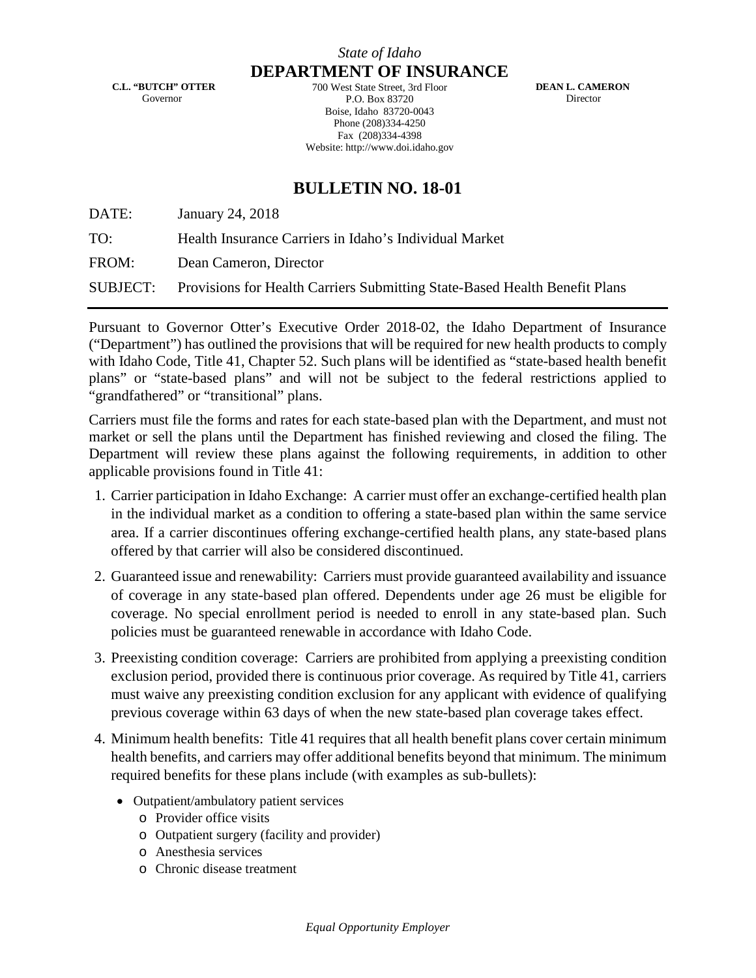**C.L. "BUTCH" OTTER** Governor

**DEPARTMENT OF INSURANCE** 700 West State Street, 3rd Floor P.O. Box 83720 Boise, Idaho 83720-0043 Phone (208)334-4250 Fax (208)334-4398 Website: http://www.doi.idaho.gov

 **DEAN L. CAMERON** Director

## **BULLETIN NO. 18-01**

DATE: January 24, 2018

TO: Health Insurance Carriers in Idaho's Individual Market

FROM: Dean Cameron, Director

SUBJECT: Provisions for Health Carriers Submitting State-Based Health Benefit Plans

Pursuant to Governor Otter's Executive Order 2018-02, the Idaho Department of Insurance ("Department") has outlined the provisions that will be required for new health products to comply with Idaho Code, Title 41, Chapter 52. Such plans will be identified as "state-based health benefit plans" or "state-based plans" and will not be subject to the federal restrictions applied to "grandfathered" or "transitional" plans.

Carriers must file the forms and rates for each state-based plan with the Department, and must not market or sell the plans until the Department has finished reviewing and closed the filing. The Department will review these plans against the following requirements, in addition to other applicable provisions found in Title 41:

- 1. Carrier participation in Idaho Exchange: A carrier must offer an exchange-certified health plan in the individual market as a condition to offering a state-based plan within the same service area. If a carrier discontinues offering exchange-certified health plans, any state-based plans offered by that carrier will also be considered discontinued.
- 2. Guaranteed issue and renewability: Carriers must provide guaranteed availability and issuance of coverage in any state-based plan offered. Dependents under age 26 must be eligible for coverage. No special enrollment period is needed to enroll in any state-based plan. Such policies must be guaranteed renewable in accordance with Idaho Code.
- 3. Preexisting condition coverage: Carriers are prohibited from applying a preexisting condition exclusion period, provided there is continuous prior coverage. As required by Title 41, carriers must waive any preexisting condition exclusion for any applicant with evidence of qualifying previous coverage within 63 days of when the new state-based plan coverage takes effect.
- 4. Minimum health benefits: Title 41 requires that all health benefit plans cover certain minimum health benefits, and carriers may offer additional benefits beyond that minimum. The minimum required benefits for these plans include (with examples as sub-bullets):
	- Outpatient/ambulatory patient services
		- o Provider office visits
		- o Outpatient surgery (facility and provider)
		- o Anesthesia services
		- o Chronic disease treatment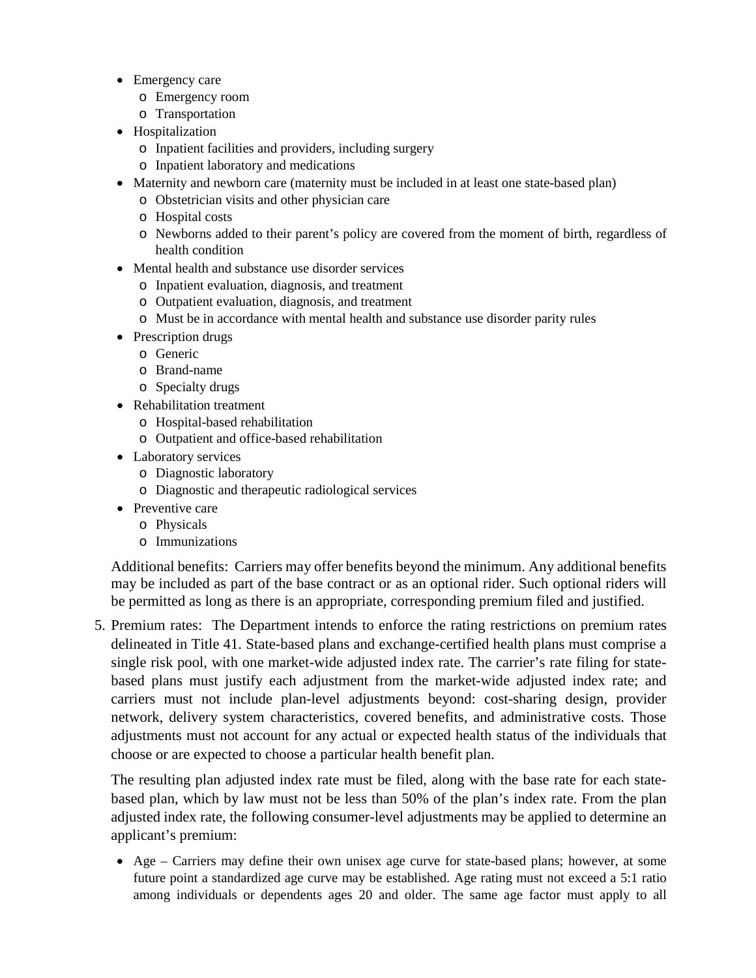- Emergency care
	- o Emergency room
	- o Transportation
- Hospitalization
	- o Inpatient facilities and providers, including surgery
	- o Inpatient laboratory and medications
- Maternity and newborn care (maternity must be included in at least one state-based plan)
	- o Obstetrician visits and other physician care
	- o Hospital costs
	- o Newborns added to their parent's policy are covered from the moment of birth, regardless of health condition
- Mental health and substance use disorder services
	- o Inpatient evaluation, diagnosis, and treatment
	- o Outpatient evaluation, diagnosis, and treatment
	- o Must be in accordance with mental health and substance use disorder parity rules
- Prescription drugs
	- o Generic
	- o Brand-name
	- o Specialty drugs
- Rehabilitation treatment
	- o Hospital-based rehabilitation
	- o Outpatient and office-based rehabilitation
- Laboratory services
	- o Diagnostic laboratory
	- o Diagnostic and therapeutic radiological services
- Preventive care
	- o Physicals
	- o Immunizations

Additional benefits: Carriers may offer benefits beyond the minimum. Any additional benefits may be included as part of the base contract or as an optional rider. Such optional riders will be permitted as long as there is an appropriate, corresponding premium filed and justified.

5. Premium rates: The Department intends to enforce the rating restrictions on premium rates delineated in Title 41. State-based plans and exchange-certified health plans must comprise a single risk pool, with one market-wide adjusted index rate. The carrier's rate filing for statebased plans must justify each adjustment from the market-wide adjusted index rate; and carriers must not include plan-level adjustments beyond: cost-sharing design, provider network, delivery system characteristics, covered benefits, and administrative costs. Those adjustments must not account for any actual or expected health status of the individuals that choose or are expected to choose a particular health benefit plan.

The resulting plan adjusted index rate must be filed, along with the base rate for each statebased plan, which by law must not be less than 50% of the plan's index rate. From the plan adjusted index rate, the following consumer-level adjustments may be applied to determine an applicant's premium:

• Age – Carriers may define their own unisex age curve for state-based plans; however, at some future point a standardized age curve may be established. Age rating must not exceed a 5:1 ratio among individuals or dependents ages 20 and older. The same age factor must apply to all